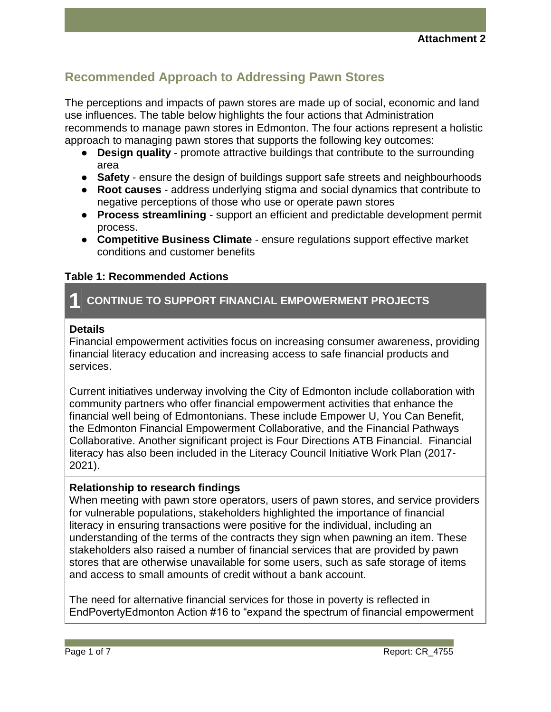# **Recommended Approach to Addressing Pawn Stores**

The perceptions and impacts of pawn stores are made up of social, economic and land use influences. The table below highlights the four actions that Administration recommends to manage pawn stores in Edmonton. The four actions represent a holistic approach to managing pawn stores that supports the following key outcomes:

- **Design quality** promote attractive buildings that contribute to the surrounding area
- **Safety** ensure the design of buildings support safe streets and neighbourhoods
- **Root causes** address underlying stigma and social dynamics that contribute to negative perceptions of those who use or operate pawn stores
- **Process streamlining** support an efficient and predictable development permit process.
- **Competitive Business Climate** ensure regulations support effective market conditions and customer benefits

# **Table 1: Recommended Actions**

# **1 CONTINUE TO SUPPORT FINANCIAL EMPOWERMENT PROJECTS**

#### **Details**

Financial empowerment activities focus on increasing consumer awareness, providing financial literacy education and increasing access to safe financial products and services.

Current initiatives underway involving the City of Edmonton include collaboration with community partners who offer financial empowerment activities that enhance the financial well being of Edmontonians. These include Empower U, You Can Benefit, the Edmonton Financial Empowerment Collaborative, and the Financial Pathways Collaborative. Another significant project is Four Directions ATB Financial. Financial literacy has also been included in the Literacy Council Initiative Work Plan (2017- 2021).

# **Relationship to research findings**

When meeting with pawn store operators, users of pawn stores, and service providers for vulnerable populations, stakeholders highlighted the importance of financial literacy in ensuring transactions were positive for the individual, including an understanding of the terms of the contracts they sign when pawning an item. These stakeholders also raised a number of financial services that are provided by pawn stores that are otherwise unavailable for some users, such as safe storage of items and access to small amounts of credit without a bank account.

The need for alternative financial services for those in poverty is reflected in EndPovertyEdmonton Action #16 to "expand the spectrum of financial empowerment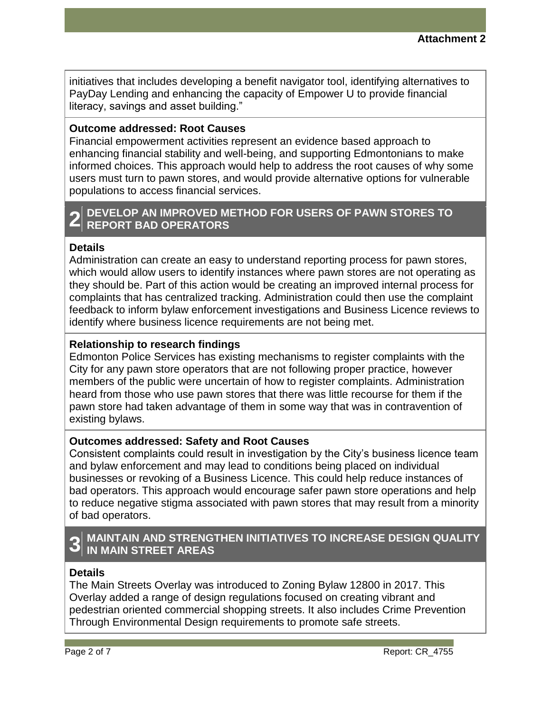initiatives that includes developing a benefit navigator tool, identifying alternatives to PayDay Lending and enhancing the capacity of Empower U to provide financial literacy, savings and asset building."

# **Outcome addressed: Root Causes**

Financial empowerment activities represent an evidence based approach to enhancing financial stability and well-being, and supporting Edmontonians to make informed choices. This approach would help to address the root causes of why some users must turn to pawn stores, and would provide alternative options for vulnerable populations to access financial services.

# **2 REPORT BAD OPERATORS DEVELOP AN IMPROVED METHOD FOR USERS OF PAWN STORES TO**

#### **Details**

Administration can create an easy to understand reporting process for pawn stores, which would allow users to identify instances where pawn stores are not operating as they should be. Part of this action would be creating an improved internal process for complaints that has centralized tracking. Administration could then use the complaint feedback to inform bylaw enforcement investigations and Business Licence reviews to identify where business licence requirements are not being met.

# **Relationship to research findings**

Edmonton Police Services has existing mechanisms to register complaints with the City for any pawn store operators that are not following proper practice, however members of the public were uncertain of how to register complaints. Administration heard from those who use pawn stores that there was little recourse for them if the pawn store had taken advantage of them in some way that was in contravention of existing bylaws.

#### **Outcomes addressed: Safety and Root Causes**

Consistent complaints could result in investigation by the City's business licence team and bylaw enforcement and may lead to conditions being placed on individual businesses or revoking of a Business Licence. This could help reduce instances of bad operators. This approach would encourage safer pawn store operations and help to reduce negative stigma associated with pawn stores that may result from a minority of bad operators.

# **3 MAINTAIN AND STRENGTHEN INITIATIVES TO INCREASE DESIGN QUALITY IN MAIN STREET AREAS**

#### **Details**

The Main Streets Overlay was introduced to Zoning Bylaw 12800 in 2017. This Overlay added a range of design regulations focused on creating vibrant and pedestrian oriented commercial shopping streets. It also includes Crime Prevention Through Environmental Design requirements to promote safe streets.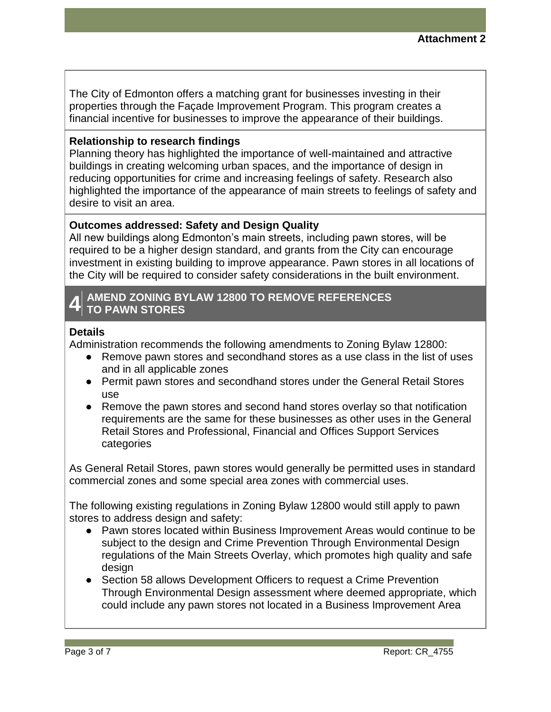The City of Edmonton offers a matching grant for businesses investing in their properties through the Façade Improvement Program. This program creates a financial incentive for businesses to improve the appearance of their buildings.

# **Relationship to research findings**

Planning theory has highlighted the importance of well-maintained and attractive buildings in creating welcoming urban spaces, and the importance of design in reducing opportunities for crime and increasing feelings of safety. Research also highlighted the importance of the appearance of main streets to feelings of safety and desire to visit an area.

# **Outcomes addressed: Safety and Design Quality**

All new buildings along Edmonton's main streets, including pawn stores, will be required to be a higher design standard, and grants from the City can encourage investment in existing building to improve appearance. Pawn stores in all locations of the City will be required to consider safety considerations in the built environment.

#### **4 AMEND ZONING BYLAW 12800 TO REMOVE REFERENCES TO PAWN STORES**

#### **Details**

Administration recommends the following amendments to Zoning Bylaw 12800:

- Remove pawn stores and secondhand stores as a use class in the list of uses and in all applicable zones
- Permit pawn stores and secondhand stores under the General Retail Stores use
- Remove the pawn stores and second hand stores overlay so that notification requirements are the same for these businesses as other uses in the General Retail Stores and Professional, Financial and Offices Support Services categories

As General Retail Stores, pawn stores would generally be permitted uses in standard commercial zones and some special area zones with commercial uses.

The following existing regulations in Zoning Bylaw 12800 would still apply to pawn stores to address design and safety:

- Pawn stores located within Business Improvement Areas would continue to be subject to the design and Crime Prevention Through Environmental Design regulations of the Main Streets Overlay, which promotes high quality and safe design
- Section 58 allows Development Officers to request a Crime Prevention Through Environmental Design assessment where deemed appropriate, which could include any pawn stores not located in a Business Improvement Area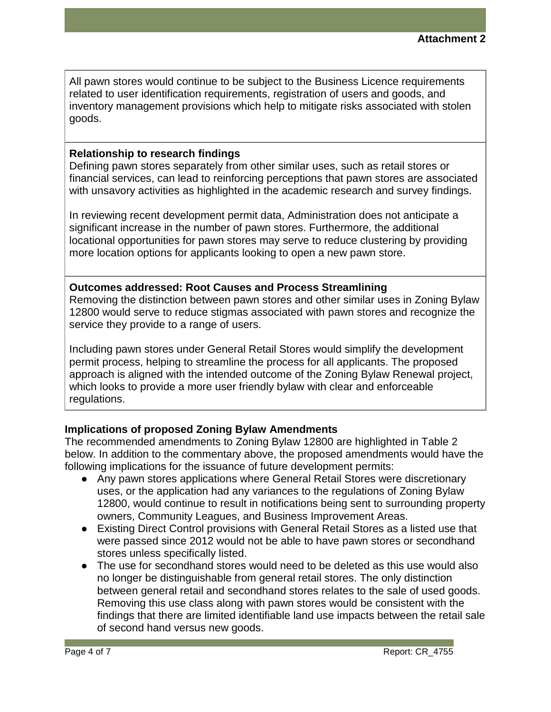All pawn stores would continue to be subject to the Business Licence requirements related to user identification requirements, registration of users and goods, and inventory management provisions which help to mitigate risks associated with stolen goods.

# **Relationship to research findings**

Defining pawn stores separately from other similar uses, such as retail stores or financial services, can lead to reinforcing perceptions that pawn stores are associated with unsavory activities as highlighted in the academic research and survey findings.

In reviewing recent development permit data, Administration does not anticipate a significant increase in the number of pawn stores. Furthermore, the additional locational opportunities for pawn stores may serve to reduce clustering by providing more location options for applicants looking to open a new pawn store.

#### **Outcomes addressed: Root Causes and Process Streamlining**

Removing the distinction between pawn stores and other similar uses in Zoning Bylaw 12800 would serve to reduce stigmas associated with pawn stores and recognize the service they provide to a range of users.

Including pawn stores under General Retail Stores would simplify the development permit process, helping to streamline the process for all applicants. The proposed approach is aligned with the intended outcome of the Zoning Bylaw Renewal project, which looks to provide a more user friendly bylaw with clear and enforceable regulations.

# **Implications of proposed Zoning Bylaw Amendments**

The recommended amendments to Zoning Bylaw 12800 are highlighted in Table 2 below. In addition to the commentary above, the proposed amendments would have the following implications for the issuance of future development permits:

- Any pawn stores applications where General Retail Stores were discretionary uses, or the application had any variances to the regulations of Zoning Bylaw 12800, would continue to result in notifications being sent to surrounding property owners, Community Leagues, and Business Improvement Areas.
- Existing Direct Control provisions with General Retail Stores as a listed use that were passed since 2012 would not be able to have pawn stores or secondhand stores unless specifically listed.
- The use for secondhand stores would need to be deleted as this use would also no longer be distinguishable from general retail stores. The only distinction between general retail and secondhand stores relates to the sale of used goods. Removing this use class along with pawn stores would be consistent with the findings that there are limited identifiable land use impacts between the retail sale of second hand versus new goods.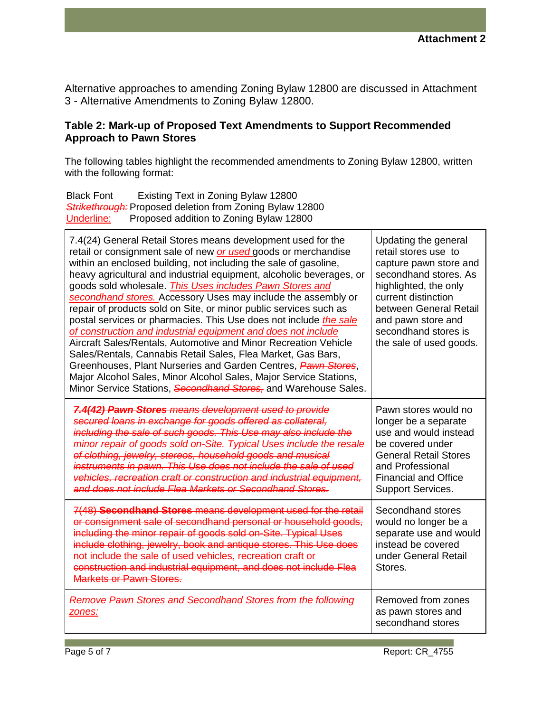Alternative approaches to amending Zoning Bylaw 12800 are discussed in Attachment 3 - Alternative Amendments to Zoning Bylaw 12800.

# **Table 2: Mark-up of Proposed Text Amendments to Support Recommended Approach to Pawn Stores**

The following tables highlight the recommended amendments to Zoning Bylaw 12800, written with the following format:

Black Font Existing Text in Zoning Bylaw 12800 *Strikethrough:* Proposed deletion from Zoning Bylaw 12800 Underline: Proposed addition to Zoning Bylaw 12800

| 7.4(24) General Retail Stores means development used for the<br>retail or consignment sale of new or used goods or merchandise<br>within an enclosed building, not including the sale of gasoline,<br>heavy agricultural and industrial equipment, alcoholic beverages, or<br>goods sold wholesale. This Uses includes Pawn Stores and<br>secondhand stores. Accessory Uses may include the assembly or<br>repair of products sold on Site, or minor public services such as<br>postal services or pharmacies. This Use does not include the sale<br>of construction and industrial equipment and does not include<br>Aircraft Sales/Rentals, Automotive and Minor Recreation Vehicle<br>Sales/Rentals, Cannabis Retail Sales, Flea Market, Gas Bars,<br>Greenhouses, Plant Nurseries and Garden Centres, Pawn Stores,<br>Major Alcohol Sales, Minor Alcohol Sales, Major Service Stations,<br>Minor Service Stations, Secondhand Stores, and Warehouse Sales. | Updating the general<br>retail stores use to<br>capture pawn store and<br>secondhand stores. As<br>highlighted, the only<br>current distinction<br>between General Retail<br>and pawn store and<br>secondhand stores is<br>the sale of used goods. |
|----------------------------------------------------------------------------------------------------------------------------------------------------------------------------------------------------------------------------------------------------------------------------------------------------------------------------------------------------------------------------------------------------------------------------------------------------------------------------------------------------------------------------------------------------------------------------------------------------------------------------------------------------------------------------------------------------------------------------------------------------------------------------------------------------------------------------------------------------------------------------------------------------------------------------------------------------------------|----------------------------------------------------------------------------------------------------------------------------------------------------------------------------------------------------------------------------------------------------|
| 7.4(42) Pawn Stores means development used to provide<br>secured loans in exchange for goods offered as collateral,<br>including the sale of such goods. This Use may also include the<br>minor repair of goods sold on-Site. Typical Uses include the resale<br>of clothing, jewelry, stereos, household goods and musical<br>instruments in pawn. This Use does not include the sale of used<br>vehicles, recreation craft or construction and industrial equipment,<br>and does not include Flea Markets or Secondhand Stores.                                                                                                                                                                                                                                                                                                                                                                                                                              | Pawn stores would no<br>longer be a separate<br>use and would instead<br>be covered under<br><b>General Retail Stores</b><br>and Professional<br><b>Financial and Office</b><br>Support Services.                                                  |
| 7(48) Secondhand Stores means development used for the retail<br>or consignment sale of secondhand personal or household goods,<br>including the minor repair of goods sold on-Site. Typical Uses<br>include clothing, jewelry, book and antique stores. This Use does<br>not include the sale of used vehicles, recreation craft or<br>construction and industrial equipment, and does not include Flea<br><b>Markets or Pawn Stores.</b>                                                                                                                                                                                                                                                                                                                                                                                                                                                                                                                     | Secondhand stores<br>would no longer be a<br>separate use and would<br>instead be covered<br>under General Retail<br>Stores.                                                                                                                       |
| <b>Remove Pawn Stores and Secondhand Stores from the following</b><br>zones:                                                                                                                                                                                                                                                                                                                                                                                                                                                                                                                                                                                                                                                                                                                                                                                                                                                                                   | Removed from zones<br>as pawn stores and<br>secondhand stores                                                                                                                                                                                      |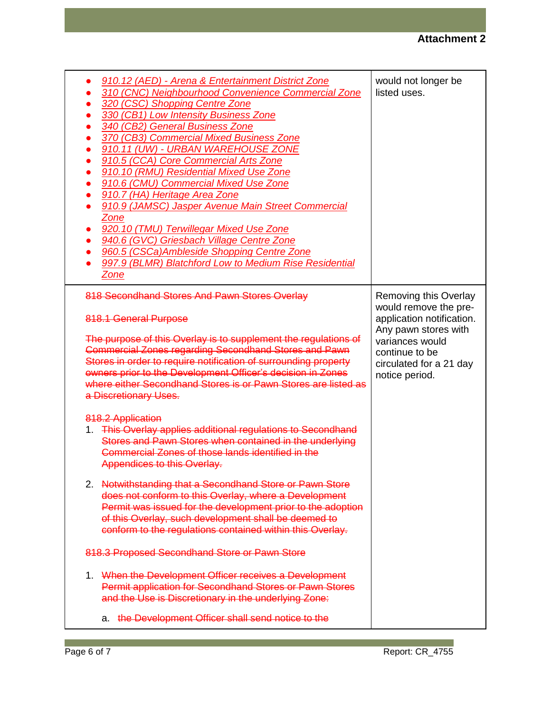| 910.12 (AED) - Arena & Entertainment District Zone<br>310 (CNC) Neighbourhood Convenience Commercial Zone<br>320 (CSC) Shopping Centre Zone<br>330 (CB1) Low Intensity Business Zone<br>340 (CB2) General Business Zone<br>370 (CB3) Commercial Mixed Business Zone<br>910.11 (UW) - URBAN WAREHOUSE ZONE<br>910.5 (CCA) Core Commercial Arts Zone<br>910.10 (RMU) Residential Mixed Use Zone<br>910.6 (CMU) Commercial Mixed Use Zone<br>910.7 (HA) Heritage Area Zone<br>910.9 (JAMSC) Jasper Avenue Main Street Commercial<br>Zone<br>920.10 (TMU) Terwillegar Mixed Use Zone<br>940.6 (GVC) Griesbach Village Centre Zone<br>960.5 (CSCa)Ambleside Shopping Centre Zone<br>997.9 (BLMR) Blatchford Low to Medium Rise Residential<br><u>Zone</u> | would not longer be<br>listed uses.                                                                                                                                                   |
|------------------------------------------------------------------------------------------------------------------------------------------------------------------------------------------------------------------------------------------------------------------------------------------------------------------------------------------------------------------------------------------------------------------------------------------------------------------------------------------------------------------------------------------------------------------------------------------------------------------------------------------------------------------------------------------------------------------------------------------------------|---------------------------------------------------------------------------------------------------------------------------------------------------------------------------------------|
| 818 Secondhand Stores And Pawn Stores Overlay<br>818.1 General Purpose<br>The purpose of this Overlay is to supplement the regulations of<br><b>Commercial Zones regarding Secondhand Stores and Pawn</b><br>Stores in order to require notification of surrounding property<br>owners prior to the Development Officer's decision in Zones<br>where either Secondhand Stores is or Pawn Stores are listed as<br>a Discretionary Uses.                                                                                                                                                                                                                                                                                                               | Removing this Overlay<br>would remove the pre-<br>application notification.<br>Any pawn stores with<br>variances would<br>continue to be<br>circulated for a 21 day<br>notice period. |
| 818.2 Application<br>1. This Overlay applies additional regulations to Secondhand<br>Stores and Pawn Stores when contained in the underlying<br>Commercial Zones of those lands identified in the<br>Appendices to this Overlay.<br>2. Notwithstanding that a Secondhand Store or Pawn Store<br>does not conform to this Overlay, where a Development                                                                                                                                                                                                                                                                                                                                                                                                |                                                                                                                                                                                       |
| Permit was issued for the development prior to the adoption<br>of this Overlay, such development shall be deemed to<br>conform to the regulations contained within this Overlay.<br>818.3 Proposed Secondhand Store or Pawn Store<br>1 When the Development Officer receives a Development<br>Permit application for Secondhand Stores or Pawn Stores<br>and the Use is Discretionary in the underlying Zone:                                                                                                                                                                                                                                                                                                                                        |                                                                                                                                                                                       |
| the Development Officer shall send notice to the<br>а.                                                                                                                                                                                                                                                                                                                                                                                                                                                                                                                                                                                                                                                                                               |                                                                                                                                                                                       |